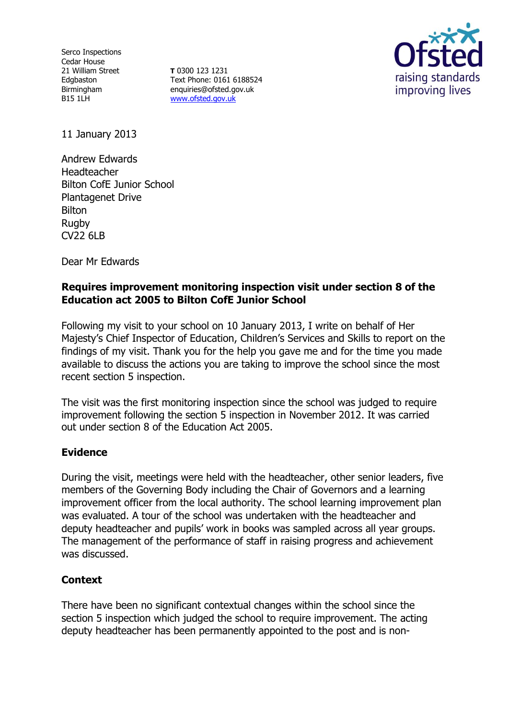Serco Inspections Cedar House 21 William Street Edgbaston Birmingham B15 1LH

**T** 0300 123 1231 Text Phone: 0161 6188524 enquiries@ofsted.gov.uk [www.ofsted.gov.uk](http://www.ofsted.gov.uk/)



11 January 2013

Andrew Edwards Headteacher Bilton CofE Junior School Plantagenet Drive **Bilton** Rugby CV22 6LB

Dear Mr Edwards

## **Requires improvement monitoring inspection visit under section 8 of the Education act 2005 to Bilton CofE Junior School**

Following my visit to your school on 10 January 2013, I write on behalf of Her Majesty's Chief Inspector of Education, Children's Services and Skills to report on the findings of my visit. Thank you for the help you gave me and for the time you made available to discuss the actions you are taking to improve the school since the most recent section 5 inspection.

The visit was the first monitoring inspection since the school was judged to require improvement following the section 5 inspection in November 2012. It was carried out under section 8 of the Education Act 2005.

## **Evidence**

During the visit, meetings were held with the headteacher, other senior leaders, five members of the Governing Body including the Chair of Governors and a learning improvement officer from the local authority. The school learning improvement plan was evaluated. A tour of the school was undertaken with the headteacher and deputy headteacher and pupils' work in books was sampled across all year groups. The management of the performance of staff in raising progress and achievement was discussed.

## **Context**

There have been no significant contextual changes within the school since the section 5 inspection which judged the school to require improvement. The acting deputy headteacher has been permanently appointed to the post and is non-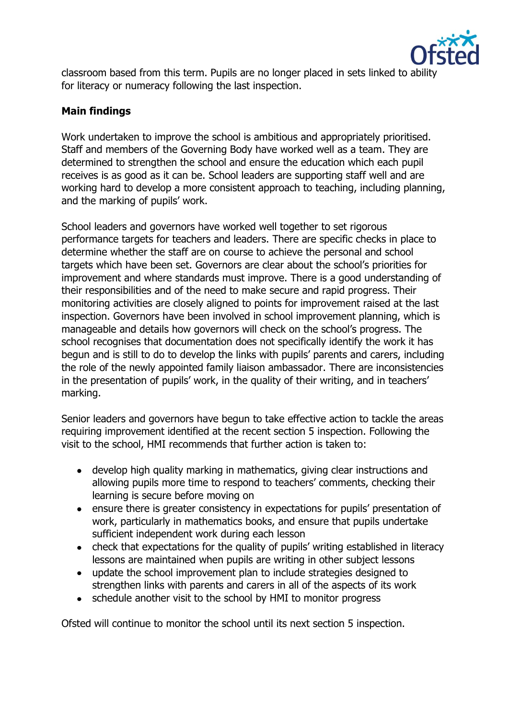

classroom based from this term. Pupils are no longer placed in sets linked to ability for literacy or numeracy following the last inspection.

# **Main findings**

Work undertaken to improve the school is ambitious and appropriately prioritised. Staff and members of the Governing Body have worked well as a team. They are determined to strengthen the school and ensure the education which each pupil receives is as good as it can be. School leaders are supporting staff well and are working hard to develop a more consistent approach to teaching, including planning, and the marking of pupils' work.

School leaders and governors have worked well together to set rigorous performance targets for teachers and leaders. There are specific checks in place to determine whether the staff are on course to achieve the personal and school targets which have been set. Governors are clear about the school's priorities for improvement and where standards must improve. There is a good understanding of their responsibilities and of the need to make secure and rapid progress. Their monitoring activities are closely aligned to points for improvement raised at the last inspection. Governors have been involved in school improvement planning, which is manageable and details how governors will check on the school's progress. The school recognises that documentation does not specifically identify the work it has begun and is still to do to develop the links with pupils' parents and carers, including the role of the newly appointed family liaison ambassador. There are inconsistencies in the presentation of pupils' work, in the quality of their writing, and in teachers' marking.

Senior leaders and governors have begun to take effective action to tackle the areas requiring improvement identified at the recent section 5 inspection. Following the visit to the school, HMI recommends that further action is taken to:

- develop high quality marking in mathematics, giving clear instructions and allowing pupils more time to respond to teachers' comments, checking their learning is secure before moving on
- ensure there is greater consistency in expectations for pupils' presentation of work, particularly in mathematics books, and ensure that pupils undertake sufficient independent work during each lesson
- check that expectations for the quality of pupils' writing established in literacy lessons are maintained when pupils are writing in other subject lessons
- update the school improvement plan to include strategies designed to strengthen links with parents and carers in all of the aspects of its work
- schedule another visit to the school by HMI to monitor progress

Ofsted will continue to monitor the school until its next section 5 inspection.